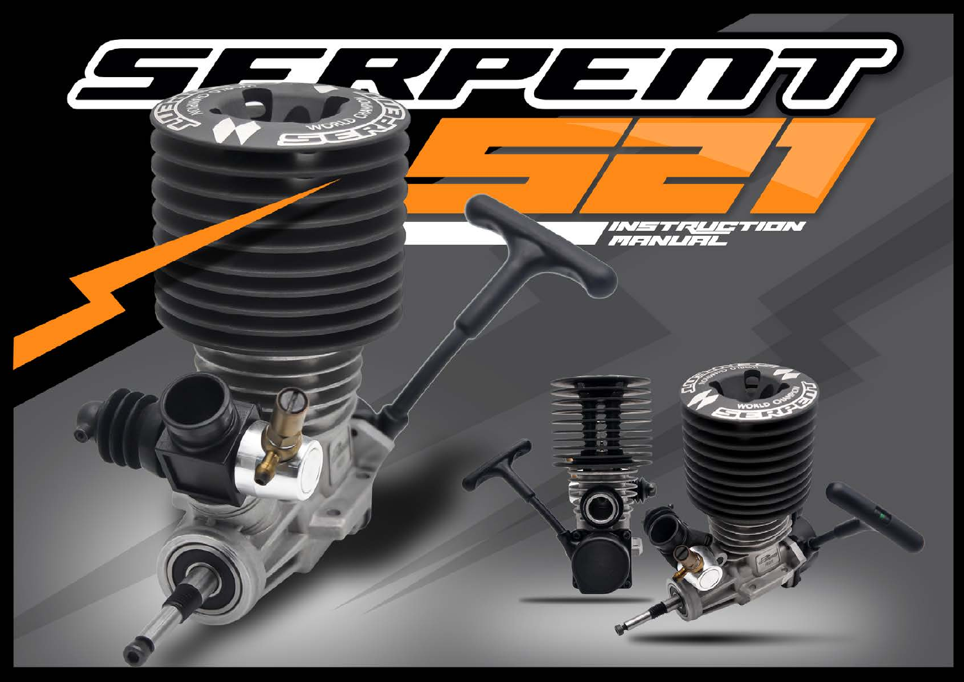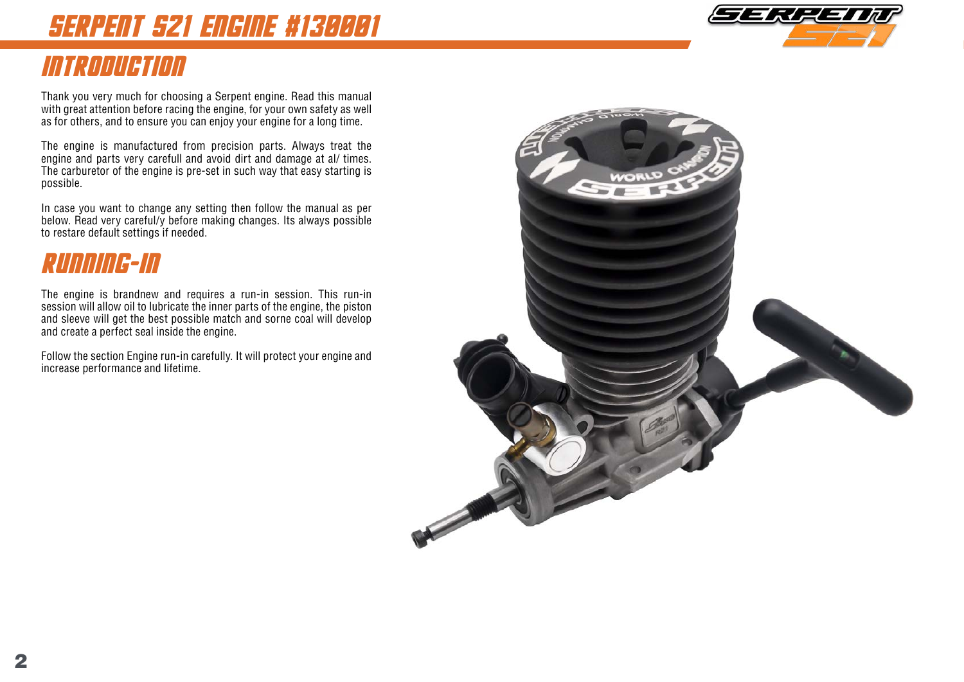# serpent s21 engine #130001

## introduction

Thank you very much for choosing a Serpent engine. Read this manual with great attention before racing the engine, for your own safety as well as for others, and to ensure you can enjoy your engine for a long time.

The engine is manufactured from precision parts. Always treat the engine and parts very carefull and avoid dirt and damage at al/ times. The carburetor of the engine is pre-set in such way that easy starting is possible.

In case you want to change any setting then follow the manual as per below. Read very careful/y before making changes. Its always possible to restare default settings if needed.

## Running-in

The engine is brandnew and requires a run-in session. This run-in session will allow oil to lubricate the inner parts of the engine, the piston and sleeve will get the best possible match and sorne coal will develop and create a perfect seal inside the engine.

Follow the section Engine run-in carefully. It will protect your engine and increase performance and lifetime.



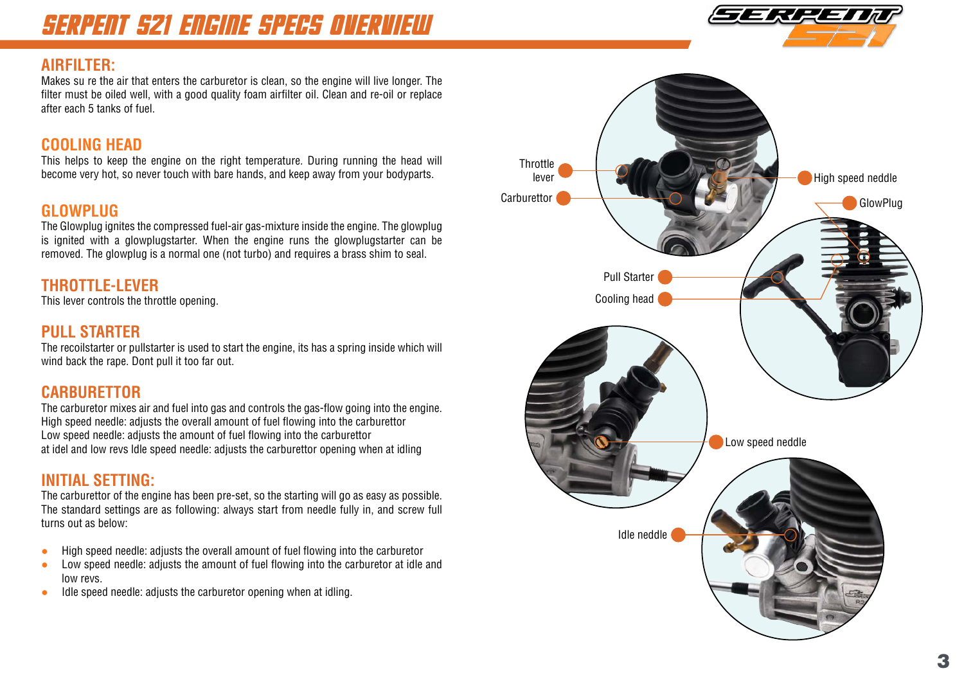## SERPENT s21 ENGINE SPECS OVERVIEW

#### **AIRFILTER:**

Makes su re the air that enters the carburetor is clean, so the engine will live longer. The filter must be oiled well, with a good quality foam airfilter oil. Clean and re-oil or replace after each 5 tanks of fuel.

### **COOLING HEAD**

This helps to keep the engine on the right temperature. During running the head will become very hot, so never touch with bare hands, and keep away from your bodyparts.

### **GLOWPLUG**

The Glowplug ignites the compressed fuel-air gas-mixture inside the engine. The glowplug is ignited with a glowplugstarter. When the engine runs the glowplugstarter can be removed. The glowplug is a normal one (not turbo) and requires a brass shim to seal.

### **Throttle-lever**

This lever controls the throttle opening.

#### **Pull starter**

The recoilstarter or pullstarter is used to start the engine, its has a spring inside which will wind back the rape. Dont pull it too far out.

#### **Carburettor**

The carburetor mixes air and fuel into gas and controls the gas-flow going into the engine. High speed needle: adjusts the overall amount of fuel flowing into the carburettor Low speed needle: adjusts the amount of fuel flowing into the carburettor at idel and low revs ldle speed needle: adjusts the carburettor opening when at idling

#### **INITIAL Setting:**

The carburettor of the engine has been pre-set, so the starting will go as easy as possible. The standard settings are as following: always start from needle fully in, and screw full turns out as below:

- High speed needle: adjusts the overall amount of fuel flowing into the carburetor
- Low speed needle: adjusts the amount of fuel flowing into the carburetor at idle and low revs.
- Idle speed needle: adjusts the carburetor opening when at idling.



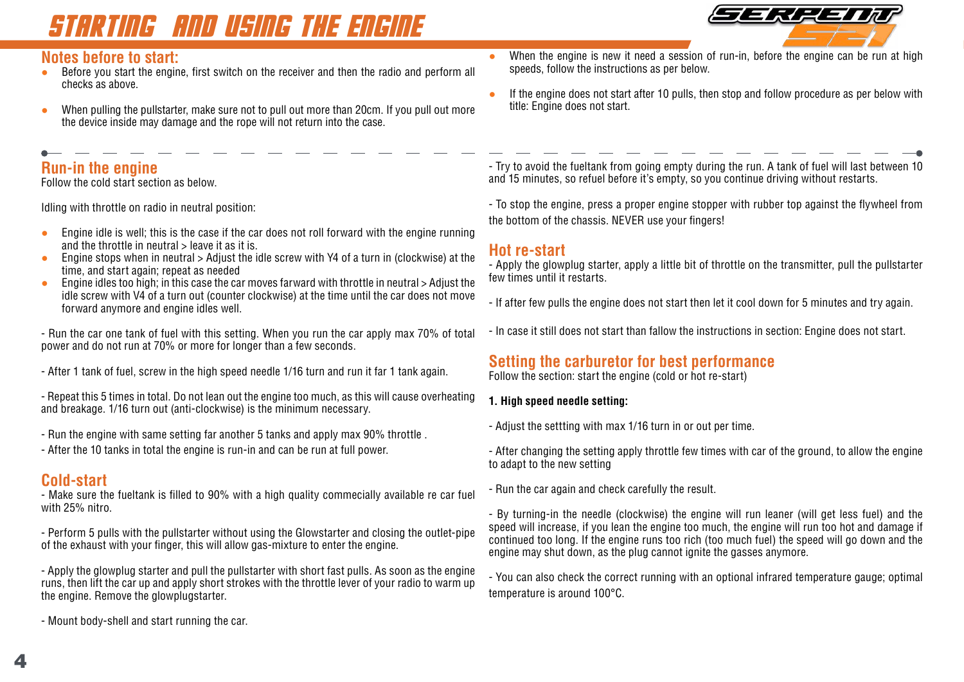# starting and using the engine



### **Notes before to start:**<br>• Before you start the engine

- Before you start the engine, first switch on the receiver and then the radio and perform all checks as above.
- When pulling the pullstarter, make sure not to pull out more than 20cm. If you pull out more the device inside may damage and the rope will not return into the case.

### **Run-in the engine**

Follow the cold start section as below.

Idling with throttle on radio in neutral position:

- Engine idle is well; this is the case if the car does not roll forward with the engine running and the throttle in neutral > leave it as it is.
- Engine stops when in neutral > Adjust the idle screw with Y4 of a turn in (clockwise) at the time, and start again; repeat as needed
- Engine idles too high; in this case the car moves farward with throttle in neutral  $>$  Adjust the idle screw with V4 of a turn out (counter clockwise) at the time until the car does not move forward anymore and engine idles well.

- Run the car one tank of fuel with this setting. When you run the car apply max 70% of total power and do not run at 70% or more for longer than a few seconds.

- After 1 tank of fuel, screw in the high speed needle 1/16 turn and run it far 1 tank again.

- Repeat this 5 times in total. Do not lean out the engine too much, as this will cause overheating and breakage. 1/16 turn out (anti-clockwise) is the minimum necessary.

- Run the engine with same setting far another 5 tanks and apply max 90% throttle .
- After the 10 tanks in total the engine is run-in and can be run at full power.

#### **Cold-start**

- Make sure the fueltank is filled to 90% with a high quality commecially available re car fuel with 25% nitro.

- Perform 5 pulls with the pullstarter without using the Glowstarter and closing the outlet-pipe of the exhaust with your finger, this will allow gas-mixture to enter the engine.

- Apply the glowplug starter and pull the pullstarter with short fast pulls. As soon as the engine runs, then lift the car up and apply short strokes with the throttle lever of your radio to warm up the engine. Remove the glowplugstarter.

- Mount body-shell and start running the car.

- When the engine is new it need a session of run-in, before the engine can be run at high speeds, follow the instructions as per below.
- If the engine does not start after 10 pulls, then stop and follow procedure as per below with title: Engine does not start.

- Try to avoid the fueltank from going empty during the run. A tank of fuel will last between 10 and 15 minutes, so refuel before it's empty, so you continue driving without restarts.

- To stop the engine, press a proper engine stopper with rubber top against the flywheel from the bottom of the chassis. NEVER use your fingers!

#### **Hot re-start**

- Apply the glowplug starter, apply a little bit of throttle on the transmitter, pull the pullstarter few times until it restarts.

- If after few pulls the engine does not start then let it cool down for 5 minutes and try again.
- In case it still does not start than fallow the instructions in section: Engine does not start.

#### **Setting the carburetor for best performance**

Follow the section: start the engine (cold or hot re-start)

- **1. High speed needle setting:**
- Adjust the settting with max 1/16 turn in or out per time.

- After changing the setting apply throttle few times with car of the ground, to allow the engine to adapt to the new setting

- Run the car again and check carefully the result.

- By turning-in the needle (clockwise) the engine will run leaner (will get less fuel) and the speed will increase, if you lean the engine too much, the engine will run too hot and damage if continued too long. If the engine runs too rich (too much fuel) the speed will go down and the engine may shut down, as the plug cannot ignite the gasses anymore.

- You can also check the correct running with an optional infrared temperature gauge; optimal temperature is around 100°C.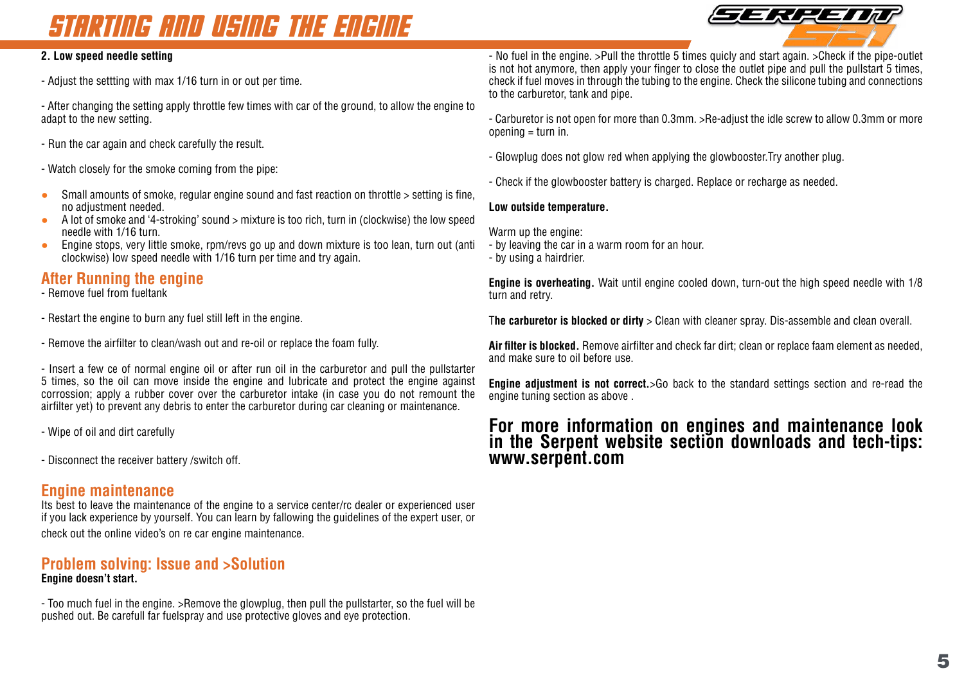# starting and using the engine



#### **2. Low speed needle setting**

- Adjust the settting with max 1/16 turn in or out per time.

- After changing the setting apply throttle few times with car of the ground, to allow the engine to adapt to the new setting.

- Run the car again and check carefully the result.

- Watch closely for the smoke coming from the pipe:

- Small amounts of smoke, regular engine sound and fast reaction on throttle > setting is fine, no adjustment needed.
- A lot of smoke and '4-stroking' sound > mixture is too rich, turn in (clockwise) the low speed needle with 1/16 turn.
- Engine stops, very little smoke, rpm/revs go up and down mixture is too lean, turn out (anti clockwise) low speed needle with 1/16 turn per time and try again.

#### **After Running the engine**

- Remove fuel from fueltank

- Restart the engine to burn any fuel still left in the engine.

- Remove the airfilter to clean/wash out and re-oil or replace the foam fully.

- Insert a few ce of normal engine oil or after run oil in the carburetor and pull the pullstarter 5 times, so the oil can move inside the engine and lubricate and protect the engine against corrossion; apply a rubber cover over the carburetor intake (in case you do not remount the airfilter yet) to prevent any debris to enter the carburetor during car cleaning or maintenance.

- Wipe of oil and dirt carefully

- Disconnect the receiver battery /switch off.

#### **Engine maintenance**

Its best to leave the maintenance of the engine to a service center/rc dealer or experienced user if you lack experience by yourself. You can learn by fallowing the guidelines of the expert user, or check out the online video's on re car engine maintenance.

#### **Problem solving: Issue and >Solution Engine doesn't start.**

- Too much fuel in the engine. >Remove the glowplug, then pull the pullstarter, so the fuel will be pushed out. Be carefull far fuelspray and use protective gloves and eye protection.

- No fuel in the engine. >Pull the throttle 5 times quicly and start again. >Check if the pipe-outlet is not hot anymore, then apply your finger to close the outlet pipe and pull the pullstart 5 times, check if fuel moves in through the tubing to the engine. Check the silicone tubing and connections to the carburetor, tank and pipe.

- Carburetor is not open for more than 0.3mm. >Re-adjust the idle screw to allow 0.3mm or more opening = turn in.

- Glowplug does not glow red when applying the glowbooster.Try another plug.
- Check if the glowbooster battery is charged. Replace or recharge as needed.

#### **Low outside temperature.**

Warm up the engine:

- by leaving the car in a warm room for an hour.
- by using a hairdrier.

**Engine is overheating.** Wait until engine cooled down, turn-out the high speed needle with 1/8 turn and retry.

T**he carburetor is blocked or dirty** > Clean with cleaner spray. Dis-assemble and clean overall.

**Air filter is blocked.** Remove airfilter and check far dirt; clean or replace faam element as needed, and make sure to oil before use.

**Engine adjustment is not correct.**>Go back to the standard settings section and re-read the engine tuning section as above .

### **For more information on engines and maintenance look in the Serpent website section downloads and tech-tips: www.serpent.com**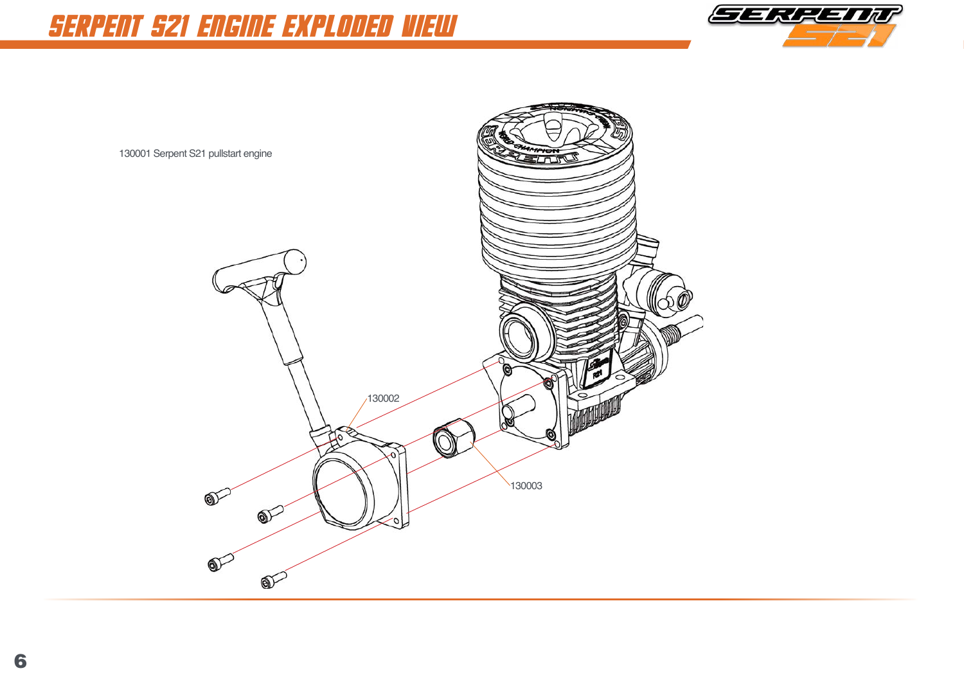

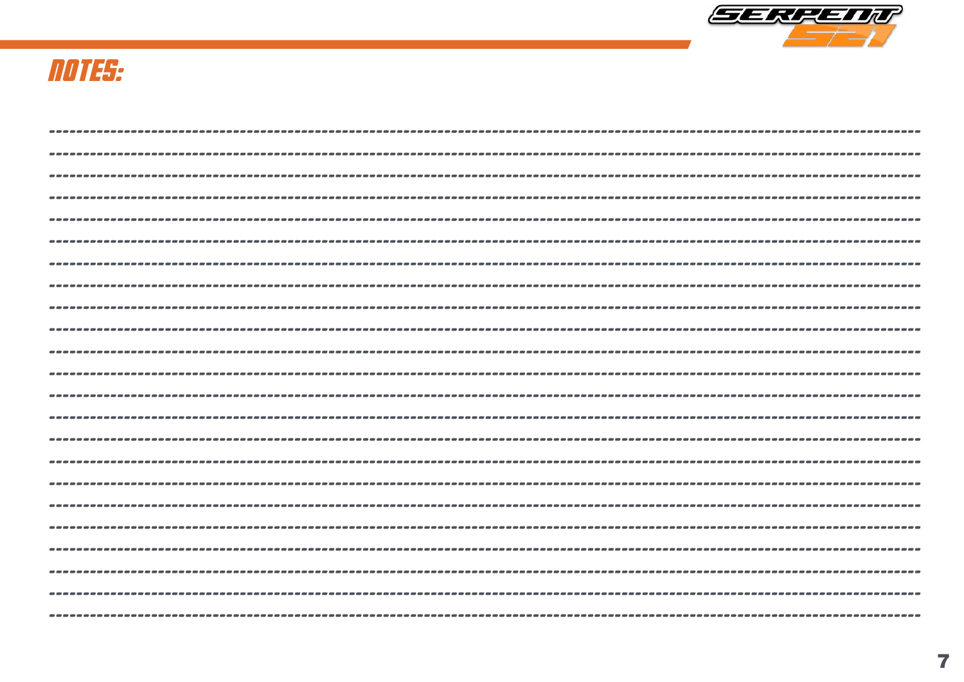